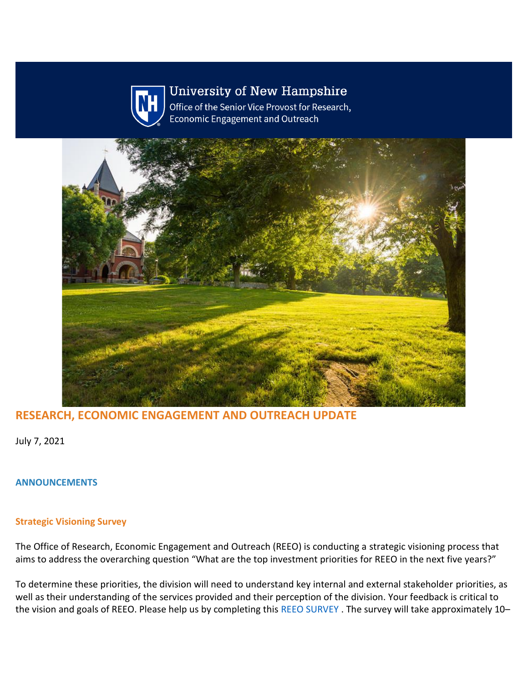

# **University of New Hampshire**

Office of the Senior Vice Provost for Research, **Economic Engagement and Outreach** 



# **RESEARCH, ECONOMIC ENGAGEMENT AND OUTREACH UPDATE**

July 7, 2021

# **ANNOUNCEMENTS**

# **Strategic Visioning Survey**

The Office of Research, Economic Engagement and Outreach (REEO) is conducting a strategic visioning process that aims to address the overarching question "What are the top investment priorities for REEO in the next five years?"

To determine these priorities, the division will need to understand key internal and external stakeholder priorities, as well as their understanding of the services provided and their perception of the division. Your feedback is critical to the vision and goals of REEO. Please help us by completing this [REEO SURVEY](https://nam12.safelinks.protection.outlook.com/?url=https%3A%2F%2Fclick.send.unh.edu%2F%3Fqs%3D9a9fd81475ad4145ab2727649f4ad93524a97645cc4fa5b917e8f133a1fda96aa0a09f393b36145eb3ee3098588538e563a988af956289a4&data=04%7C01%7CNicole.Hentz%40unh.edu%7Cfa5fc7a7b7734435f33708d94171a0c0%7Cd6241893512d46dc8d2bbe47e25f5666%7C0%7C0%7C637612778550865535%7CUnknown%7CTWFpbGZsb3d8eyJWIjoiMC4wLjAwMDAiLCJQIjoiV2luMzIiLCJBTiI6Ik1haWwiLCJXVCI6Mn0%3D%7C1000&sdata=ADyOE9zJgLL2DmDA9RlgxHquy2wkvj%2B%2FFvmlEzv5zYA%3D&reserved=0). The survey will take approximately 10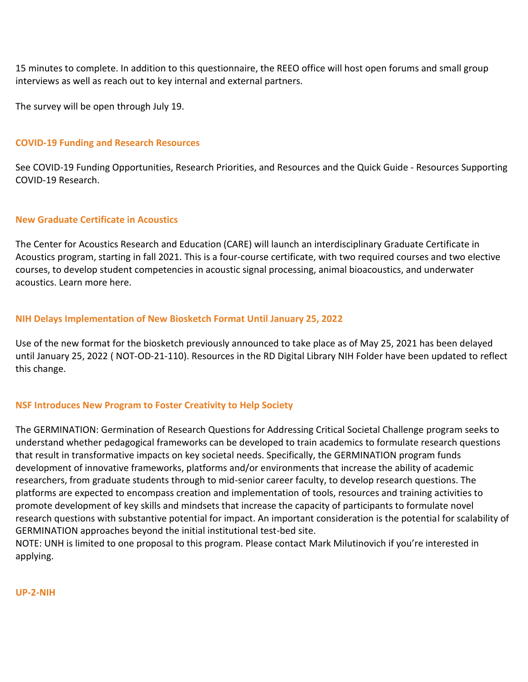15 minutes to complete. In addition to this questionnaire, the REEO office will host open forums and small group interviews as well as reach out to key internal and external partners.

The survey will be open through July 19.

# **COVID-19 Funding and Research Resources**

See [COVID-19 Funding Opportunities, Research Priorities, and Resources](https://nam12.safelinks.protection.outlook.com/?url=https%3A%2F%2Fclick.send.unh.edu%2F%3Fqs%3D9a9fd81475ad414520b15eefff3202c3b13aec581eb8810fcc8b29be16b25544fbd747d89a9149805770fd28654f574f3613e906e42d0598&data=04%7C01%7CNicole.Hentz%40unh.edu%7Cfa5fc7a7b7734435f33708d94171a0c0%7Cd6241893512d46dc8d2bbe47e25f5666%7C0%7C0%7C637612778550865535%7CUnknown%7CTWFpbGZsb3d8eyJWIjoiMC4wLjAwMDAiLCJQIjoiV2luMzIiLCJBTiI6Ik1haWwiLCJXVCI6Mn0%3D%7C1000&sdata=t5HZM29nrgfyJ2hcT1manuF%2F5mI0PebQxA1LVWtJKqg%3D&reserved=0) and the Quick Guide - [Resources Supporting](https://nam12.safelinks.protection.outlook.com/?url=https%3A%2F%2Fclick.send.unh.edu%2F%3Fqs%3Ddf88d1efafce37c1f26862f3a530391091d6ea0bd8061a722b7aaf89d06f0472a3833c0539774efb38fd1f7a2e0d682dbce1179a7f24edeb&data=04%7C01%7CNicole.Hentz%40unh.edu%7Cfa5fc7a7b7734435f33708d94171a0c0%7Cd6241893512d46dc8d2bbe47e25f5666%7C0%7C0%7C637612778550875526%7CUnknown%7CTWFpbGZsb3d8eyJWIjoiMC4wLjAwMDAiLCJQIjoiV2luMzIiLCJBTiI6Ik1haWwiLCJXVCI6Mn0%3D%7C1000&sdata=HCilAURWEyRw3bKZw4i3XNEHluCd9fg%2FxHikK3YUTiE%3D&reserved=0)  [COVID-19 Research.](https://nam12.safelinks.protection.outlook.com/?url=https%3A%2F%2Fclick.send.unh.edu%2F%3Fqs%3Ddf88d1efafce37c1f26862f3a530391091d6ea0bd8061a722b7aaf89d06f0472a3833c0539774efb38fd1f7a2e0d682dbce1179a7f24edeb&data=04%7C01%7CNicole.Hentz%40unh.edu%7Cfa5fc7a7b7734435f33708d94171a0c0%7Cd6241893512d46dc8d2bbe47e25f5666%7C0%7C0%7C637612778550875526%7CUnknown%7CTWFpbGZsb3d8eyJWIjoiMC4wLjAwMDAiLCJQIjoiV2luMzIiLCJBTiI6Ik1haWwiLCJXVCI6Mn0%3D%7C1000&sdata=HCilAURWEyRw3bKZw4i3XNEHluCd9fg%2FxHikK3YUTiE%3D&reserved=0)

### **New Graduate Certificate in Acoustics**

The Center for Acoustics Research and Education (CARE) will launch an interdisciplinary Graduate Certificate in Acoustics program, starting in fall 2021. This is a four-course certificate, with two required courses and two elective courses, to develop student competencies in acoustic signal processing, animal bioacoustics, and underwater acoustics. Learn more [here.](https://nam12.safelinks.protection.outlook.com/?url=https%3A%2F%2Fclick.send.unh.edu%2F%3Fqs%3Ddf88d1efafce37c1a4173e9d05dca9ca62f341393f8ccabb38b6e3ef5e9c27ceeb6c0d33ca0c8f753d8382b2d81a44d5df16758e61359b69&data=04%7C01%7CNicole.Hentz%40unh.edu%7Cfa5fc7a7b7734435f33708d94171a0c0%7Cd6241893512d46dc8d2bbe47e25f5666%7C0%7C0%7C637612778550885521%7CUnknown%7CTWFpbGZsb3d8eyJWIjoiMC4wLjAwMDAiLCJQIjoiV2luMzIiLCJBTiI6Ik1haWwiLCJXVCI6Mn0%3D%7C1000&sdata=uTYz9uHjJAP9qGrMwk%2Ftk6%2B5bB7EVboy9%2BrJSkLeUeY%3D&reserved=0)

# **NIH Delays Implementation of New Biosketch Format Until January 25, 2022**

Use of the new format for the biosketch previously announced to take place as of May 25, 2021 has been delayed until January 25, 2022 ( [NOT-OD-21-110\)](https://nam12.safelinks.protection.outlook.com/?url=https%3A%2F%2Fclick.send.unh.edu%2F%3Fqs%3Ddf88d1efafce37c1d17d806bc8c54c16d74eda339dcaf0ad1c3cdaabe9a613d86d9f277cb46db5e4d2a98fb46c2b33fa900fbb704045cb2a&data=04%7C01%7CNicole.Hentz%40unh.edu%7Cfa5fc7a7b7734435f33708d94171a0c0%7Cd6241893512d46dc8d2bbe47e25f5666%7C0%7C0%7C637612778550885521%7CUnknown%7CTWFpbGZsb3d8eyJWIjoiMC4wLjAwMDAiLCJQIjoiV2luMzIiLCJBTiI6Ik1haWwiLCJXVCI6Mn0%3D%7C1000&sdata=MZ9FtECJPcN%2BuyeEXTPDrQuNzhoYu3ynjNftn%2FT1p%2Fs%3D&reserved=0). Resources in the [RD Digital Library NIH Folder](https://nam12.safelinks.protection.outlook.com/?url=https%3A%2F%2Fclick.send.unh.edu%2F%3Fqs%3Ddf88d1efafce37c14f0612f6436fa218ef87ce027eaf3bdcadc843e3279f605aa54391288befd379eec4d5588fd1adc812095d9af59a7dc4&data=04%7C01%7CNicole.Hentz%40unh.edu%7Cfa5fc7a7b7734435f33708d94171a0c0%7Cd6241893512d46dc8d2bbe47e25f5666%7C0%7C0%7C637612778550895517%7CUnknown%7CTWFpbGZsb3d8eyJWIjoiMC4wLjAwMDAiLCJQIjoiV2luMzIiLCJBTiI6Ik1haWwiLCJXVCI6Mn0%3D%7C1000&sdata=noXxkrubXbH1hKmdiCVIqFMLEzqC6KK7gIz5rfTv7Gs%3D&reserved=0) have been updated to reflect this change.

# **NSF Introduces New Program to Foster Creativity to Help Society**

The [GERMINATION: Germination of Research Questions for Addressing Critical Societal Challenge](https://nam12.safelinks.protection.outlook.com/?url=https%3A%2F%2Fclick.send.unh.edu%2F%3Fqs%3Ddf88d1efafce37c1cfebcfee1f2e686690b6ba5f0b869b5bb6778d8892e75036ff4e400f03df1e0dd0a85235cfea23a9b8bbf2054ed45364&data=04%7C01%7CNicole.Hentz%40unh.edu%7Cfa5fc7a7b7734435f33708d94171a0c0%7Cd6241893512d46dc8d2bbe47e25f5666%7C0%7C0%7C637612778550895517%7CUnknown%7CTWFpbGZsb3d8eyJWIjoiMC4wLjAwMDAiLCJQIjoiV2luMzIiLCJBTiI6Ik1haWwiLCJXVCI6Mn0%3D%7C1000&sdata=tkfrGJCwIv5zMv8qAgdMZDlj4zIa%2F77480KLQY%2BoUhU%3D&reserved=0) program seeks to understand whether pedagogical frameworks can be developed to train academics to formulate research questions that result in transformative impacts on key societal needs. Specifically, the GERMINATION program funds development of innovative frameworks, platforms and/or environments that increase the ability of academic researchers, from graduate students through to mid-senior career faculty, to develop research questions. The platforms are expected to encompass creation and implementation of tools, resources and training activities to promote development of key skills and mindsets that increase the capacity of participants to formulate novel research questions with substantive potential for impact. An important consideration is the potential for scalability of GERMINATION approaches beyond the initial institutional test-bed site.

NOTE: UNH is limited to one proposal to this program. Please contact [Mark Milutinovich](mailto:Mark.Milutinovich@unh.edu) if you're interested in applying.

#### **UP-2-NIH**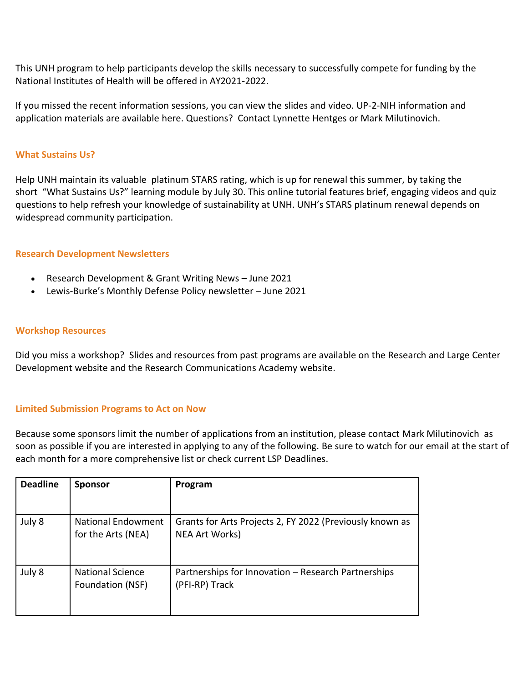This UNH program to help participants develop the skills necessary to successfully compete for funding by the National Institutes of Health will be offered in AY2021-2022.

If you missed the recent information sessions, you can view the [slides](https://nam12.safelinks.protection.outlook.com/?url=https%3A%2F%2Fclick.send.unh.edu%2F%3Fqs%3Ddf88d1efafce37c1ff7a32adc9d70c2b501248e5df2aa8e1602a38123f65b920dbd3cdb673dbe581af778087da0982874508c0b9a1ee581d&data=04%7C01%7CNicole.Hentz%40unh.edu%7Cfa5fc7a7b7734435f33708d94171a0c0%7Cd6241893512d46dc8d2bbe47e25f5666%7C0%7C0%7C637612778550905510%7CUnknown%7CTWFpbGZsb3d8eyJWIjoiMC4wLjAwMDAiLCJQIjoiV2luMzIiLCJBTiI6Ik1haWwiLCJXVCI6Mn0%3D%7C1000&sdata=%2FlaNZiVaMKKlOtG8UJY5jMu5t2yK4snTfHLpsVrPaaQ%3D&reserved=0) an[d video.](https://nam12.safelinks.protection.outlook.com/?url=https%3A%2F%2Fclick.send.unh.edu%2F%3Fqs%3Ddf88d1efafce37c1f7151cfea28bcd71400ec00c88ba33c07bc465314d14be3ff72fc711b4ce40cd69c6b685afeb92b0f59a40d8262474a2&data=04%7C01%7CNicole.Hentz%40unh.edu%7Cfa5fc7a7b7734435f33708d94171a0c0%7Cd6241893512d46dc8d2bbe47e25f5666%7C0%7C0%7C637612778550905510%7CUnknown%7CTWFpbGZsb3d8eyJWIjoiMC4wLjAwMDAiLCJQIjoiV2luMzIiLCJBTiI6Ik1haWwiLCJXVCI6Mn0%3D%7C1000&sdata=o65T2jaa%2BoQl53P11%2FTCYEKU0K0OCMQ%2FePXIwhIwwEA%3D&reserved=0) UP-2-NIH information and application materials are available [here.](https://nam12.safelinks.protection.outlook.com/?url=https%3A%2F%2Fclick.send.unh.edu%2F%3Fqs%3Ddf88d1efafce37c15fbae413ac6e555ebd4f4ed26cbdcb7b360f52ee0846e418d92b9db49c79d715e063be4b4c6224dd270377ba97ccd73a&data=04%7C01%7CNicole.Hentz%40unh.edu%7Cfa5fc7a7b7734435f33708d94171a0c0%7Cd6241893512d46dc8d2bbe47e25f5666%7C0%7C0%7C637612778550915504%7CUnknown%7CTWFpbGZsb3d8eyJWIjoiMC4wLjAwMDAiLCJQIjoiV2luMzIiLCJBTiI6Ik1haWwiLCJXVCI6Mn0%3D%7C1000&sdata=VkYQT71QSQh8RvpPd3h0F9EH9T%2F0cBAGdteF1Nl6HKk%3D&reserved=0) Questions? Contact [Lynnette Hentges](mailto:lynnette.hentges@unh.edu) or [Mark Milutinovich.](mailto:mark.milutinovich@unh.edu)

### **What Sustains Us?**

Help UNH maintain its valuable [platinum STARS rating,](https://nam12.safelinks.protection.outlook.com/?url=https%3A%2F%2Fclick.send.unh.edu%2F%3Fqs%3Ddf88d1efafce37c1ed50ab7480a0c67a757c1630de5daf9d31e76014dc76b5b8841fe2daddbb9db9e6a6b5d15c20b544c7990545fc2b6a3b&data=04%7C01%7CNicole.Hentz%40unh.edu%7Cfa5fc7a7b7734435f33708d94171a0c0%7Cd6241893512d46dc8d2bbe47e25f5666%7C0%7C0%7C637612778550915504%7CUnknown%7CTWFpbGZsb3d8eyJWIjoiMC4wLjAwMDAiLCJQIjoiV2luMzIiLCJBTiI6Ik1haWwiLCJXVCI6Mn0%3D%7C1000&sdata=u9H7ENQJmLUeWBX7Gg%2Ft2VxGdfVuPzDMersILkaYc2c%3D&reserved=0) which is up for renewal this summer, by taking the short ["What Sustains Us?" learning module](https://nam12.safelinks.protection.outlook.com/?url=https%3A%2F%2Fclick.send.unh.edu%2F%3Fqs%3Ddf88d1efafce37c101eb4d2f022ea1d370945bdda1919777fd36b431968f5921af6af7549870b08ca0ac8309dac279d2479d9a57c3a2cad8&data=04%7C01%7CNicole.Hentz%40unh.edu%7Cfa5fc7a7b7734435f33708d94171a0c0%7Cd6241893512d46dc8d2bbe47e25f5666%7C0%7C0%7C637612778550925501%7CUnknown%7CTWFpbGZsb3d8eyJWIjoiMC4wLjAwMDAiLCJQIjoiV2luMzIiLCJBTiI6Ik1haWwiLCJXVCI6Mn0%3D%7C1000&sdata=YCivLmpxMbbPjDcXXbnpt%2F0ErFxhIAZTralVH6E72jo%3D&reserved=0) by July 30. This online tutorial features brief, engaging videos and quiz questions to help refresh your knowledge of sustainability at UNH. UNH's STARS platinum renewal depends on widespread community participation.

### **Research Development Newsletters**

- Research Development & Grant Writing News [June 2021](https://nam12.safelinks.protection.outlook.com/?url=https%3A%2F%2Fclick.send.unh.edu%2F%3Fqs%3Ddf88d1efafce37c1129c1645fa89334a197646f0150b02f0fc0b289598706adbc85c2b86a33a9e68ff712dd994ac5289ffa8d72743ae81ae&data=04%7C01%7CNicole.Hentz%40unh.edu%7Cfa5fc7a7b7734435f33708d94171a0c0%7Cd6241893512d46dc8d2bbe47e25f5666%7C0%7C0%7C637612778550925501%7CUnknown%7CTWFpbGZsb3d8eyJWIjoiMC4wLjAwMDAiLCJQIjoiV2luMzIiLCJBTiI6Ik1haWwiLCJXVCI6Mn0%3D%7C1000&sdata=%2BAIaNQufwhfa0YZHrvtnR6uGNWo989gs8v3SV0F9wz8%3D&reserved=0)
- Lewis-Burke's Monthly Defense Policy newsletter [June 2021](https://nam12.safelinks.protection.outlook.com/?url=https%3A%2F%2Fclick.send.unh.edu%2F%3Fqs%3Ddf88d1efafce37c1c7f285eff0398a6c478dcbcc6b5406e992b0db8b817a6d6e4e7c024f79b8e751958e3c5ab4caf3bb0c7d88016fd02a1a&data=04%7C01%7CNicole.Hentz%40unh.edu%7Cfa5fc7a7b7734435f33708d94171a0c0%7Cd6241893512d46dc8d2bbe47e25f5666%7C0%7C0%7C637612778550935493%7CUnknown%7CTWFpbGZsb3d8eyJWIjoiMC4wLjAwMDAiLCJQIjoiV2luMzIiLCJBTiI6Ik1haWwiLCJXVCI6Mn0%3D%7C1000&sdata=o%2FDxtwIKgOvU9VmLgS%2FiYSQ8GllF%2FdRgnzJzkuxn%2FQw%3D&reserved=0)

#### **Workshop Resources**

Did you miss a workshop? Slides and resources from past programs are available on the Research and Large Center Developmen[t website a](https://nam12.safelinks.protection.outlook.com/?url=https%3A%2F%2Fclick.send.unh.edu%2F%3Fqs%3Ddf88d1efafce37c14929faf9bf6262fced1446d99cb4eb4198f825aa651d869c2c032e452167474e523245e81c518d16880099fd58cee8d7&data=04%7C01%7CNicole.Hentz%40unh.edu%7Cfa5fc7a7b7734435f33708d94171a0c0%7Cd6241893512d46dc8d2bbe47e25f5666%7C0%7C0%7C637612778550935493%7CUnknown%7CTWFpbGZsb3d8eyJWIjoiMC4wLjAwMDAiLCJQIjoiV2luMzIiLCJBTiI6Ik1haWwiLCJXVCI6Mn0%3D%7C1000&sdata=J1x0bQ94Gp7LcoqvG0ci5B9Z%2BFDy0IUOxDZ0rg4JOZ0%3D&reserved=0)nd the Research Communications Academy [website.](https://nam12.safelinks.protection.outlook.com/?url=https%3A%2F%2Fclick.send.unh.edu%2F%3Fqs%3Ddf88d1efafce37c1e873da47cf3936b4176a76d2fe1e2f4187d5770b0191142cec71f62e31df0df499e42496b154aca765f0bae241419d85&data=04%7C01%7CNicole.Hentz%40unh.edu%7Cfa5fc7a7b7734435f33708d94171a0c0%7Cd6241893512d46dc8d2bbe47e25f5666%7C0%7C0%7C637612778550945490%7CUnknown%7CTWFpbGZsb3d8eyJWIjoiMC4wLjAwMDAiLCJQIjoiV2luMzIiLCJBTiI6Ik1haWwiLCJXVCI6Mn0%3D%7C1000&sdata=Kr00hQmtdZDiuett69pDo7gH01ICf3o2awTTceC%2FHGM%3D&reserved=0)

# **Limited Submission Programs to Act on Now**

Because some sponsors limit the number of applications from an institution, please contact [Mark Milutinovich](mailto:mark.milutinovich@unh.edu) as soon as possible if you are interested in applying to any of the following. Be sure to watch for our email at the start of each month for a more comprehensive list or check [current LSP Deadlines.](https://nam12.safelinks.protection.outlook.com/?url=https%3A%2F%2Fclick.send.unh.edu%2F%3Fqs%3Ddf88d1efafce37c1df0ae7515663bcc105a4f37a1f6e90c8db89ecfd9b3820eee0cddb30c0cbcbc2d736c4d719027108877191a6d03825db&data=04%7C01%7CNicole.Hentz%40unh.edu%7Cfa5fc7a7b7734435f33708d94171a0c0%7Cd6241893512d46dc8d2bbe47e25f5666%7C0%7C0%7C637612778550945490%7CUnknown%7CTWFpbGZsb3d8eyJWIjoiMC4wLjAwMDAiLCJQIjoiV2luMzIiLCJBTiI6Ik1haWwiLCJXVCI6Mn0%3D%7C1000&sdata=pBX22Aizibkv%2BOWOJvllRiqBmtmaqnoXYtxiVD1PlpM%3D&reserved=0)

| <b>Deadline</b> | <b>Sponsor</b>                                  | Program                                                                           |
|-----------------|-------------------------------------------------|-----------------------------------------------------------------------------------|
|                 |                                                 |                                                                                   |
| July 8          | <b>National Endowment</b><br>for the Arts (NEA) | Grants for Arts Projects 2, FY 2022 (Previously known as<br><b>NEA Art Works)</b> |
| July 8          | <b>National Science</b><br>Foundation (NSF)     | Partnerships for Innovation - Research Partnerships<br>(PFI-RP) Track             |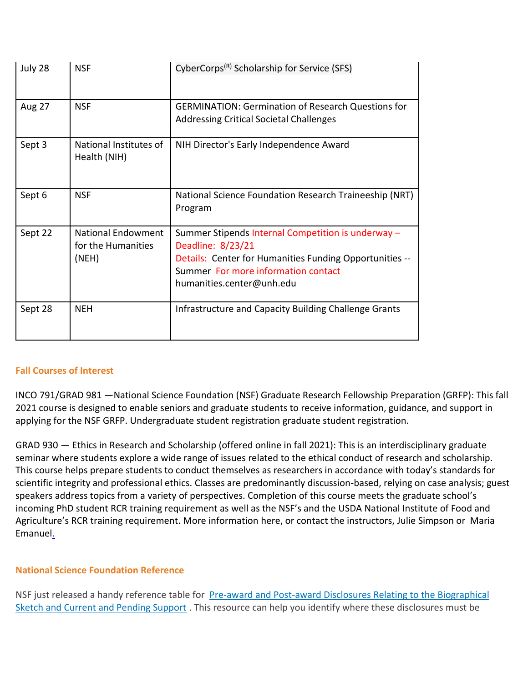| July 28       | <b>NSF</b>                                        | CyberCorps <sup>(R)</sup> Scholarship for Service (SFS)                                                                                                                                                |
|---------------|---------------------------------------------------|--------------------------------------------------------------------------------------------------------------------------------------------------------------------------------------------------------|
| <b>Aug 27</b> | <b>NSF</b>                                        | <b>GERMINATION: Germination of Research Questions for</b><br><b>Addressing Critical Societal Challenges</b>                                                                                            |
| Sept 3        | National Institutes of<br>Health (NIH)            | NIH Director's Early Independence Award                                                                                                                                                                |
| Sept 6        | <b>NSF</b>                                        | National Science Foundation Research Traineeship (NRT)<br>Program                                                                                                                                      |
| Sept 22       | National Endowment<br>for the Humanities<br>(NEH) | Summer Stipends Internal Competition is underway -<br>Deadline: 8/23/21<br>Details: Center for Humanities Funding Opportunities --<br>Summer For more information contact<br>humanities.center@unh.edu |
| Sept 28       | <b>NEH</b>                                        | Infrastructure and Capacity Building Challenge Grants                                                                                                                                                  |

# **Fall Courses of Interest**

INCO 791/GRAD 981 —National Science Foundation (NSF) Graduate Research Fellowship Preparation (GRFP): This fall 2021 course is designed to enable seniors and graduate students to receive information, guidance, and support in applying for the NSF GRFP. Undergraduate student [registration](https://nam12.safelinks.protection.outlook.com/?url=https%3A%2F%2Fclick.send.unh.edu%2F%3Fqs%3Ddf88d1efafce37c186563b046713ca5565a2fd2fb9b390a9a87a792d743e7026c61e40ef817d65a483a56ca60c87fd1d6a9b7e5b31b98344&data=04%7C01%7CNicole.Hentz%40unh.edu%7Cfa5fc7a7b7734435f33708d94171a0c0%7Cd6241893512d46dc8d2bbe47e25f5666%7C0%7C0%7C637612778551005457%7CUnknown%7CTWFpbGZsb3d8eyJWIjoiMC4wLjAwMDAiLCJQIjoiV2luMzIiLCJBTiI6Ik1haWwiLCJXVCI6Mn0%3D%7C1000&sdata=25kydBf9hJbw8uXtmL2d4UTU0lBLvj3Tioj8zDzrpxE%3D&reserved=0) graduate student [registration.](https://nam12.safelinks.protection.outlook.com/?url=https%3A%2F%2Fclick.send.unh.edu%2F%3Fqs%3Ddf88d1efafce37c12164d1bd2aba785fd3e483ed3561831ad51512841dbedd36f169c8cba77966d4f298992f0447aef431b0fb3f727e105c&data=04%7C01%7CNicole.Hentz%40unh.edu%7Cfa5fc7a7b7734435f33708d94171a0c0%7Cd6241893512d46dc8d2bbe47e25f5666%7C0%7C0%7C637612778551005457%7CUnknown%7CTWFpbGZsb3d8eyJWIjoiMC4wLjAwMDAiLCJQIjoiV2luMzIiLCJBTiI6Ik1haWwiLCJXVCI6Mn0%3D%7C1000&sdata=PMQ3HadK5b%2B70RUV8I6lkbrbUa%2F7dVeX0AImfw%2FJ7uY%3D&reserved=0)

GRAD 930 — Ethics in Research and Scholarship (offered online in fall 2021): This is an interdisciplinary graduate seminar where students explore a wide range of issues related to the ethical conduct of research and scholarship. This course helps prepare students to conduct themselves as researchers in accordance with today's standards for scientific integrity and professional ethics. Classes are predominantly discussion-based, relying on case analysis; guest speakers address topics from a variety of perspectives. Completion of this course meets the graduate school's incoming PhD student RCR training requirement as well as the NSF's and the USDA National Institute of Food and Agriculture's RCR training requirement. More information [here,](https://nam12.safelinks.protection.outlook.com/?url=https%3A%2F%2Fclick.send.unh.edu%2F%3Fqs%3Ddf88d1efafce37c11eff4dd217a69a7eb8de91ddbca4004f040dafa90f3c685fc57b029e11816b5ca54c4b5b5fdf90f8f1f6c9591da9a2a3&data=04%7C01%7CNicole.Hentz%40unh.edu%7Cfa5fc7a7b7734435f33708d94171a0c0%7Cd6241893512d46dc8d2bbe47e25f5666%7C0%7C0%7C637612778551015452%7CUnknown%7CTWFpbGZsb3d8eyJWIjoiMC4wLjAwMDAiLCJQIjoiV2luMzIiLCJBTiI6Ik1haWwiLCJXVCI6Mn0%3D%7C1000&sdata=UkA8COtwNqW0S6%2FzrISyA5e8Wm9Z4Unb1nHCWu5hk0I%3D&reserved=0) or contact the instructors, [Julie Simpson](mailto:julie.simpson@unh.edu) or [Maria](mailto:maria.emanuel@unh.edu)  [Emanuel.](mailto:maria.emanuel@unh.edu)

# **National Science Foundation Reference**

NSF just released a handy reference table for Pre-award and Post-award Disclosures Relating to the Biographical [Sketch and Current and Pending Support](https://nam12.safelinks.protection.outlook.com/?url=https%3A%2F%2Fclick.send.unh.edu%2F%3Fqs%3Ddf88d1efafce37c1e4a3558ae344a5156e07d8e5c44bcba450ff614abdd1f6f73996a34f26989fb30b9c979de74801d2a312a894b101967b&data=04%7C01%7CNicole.Hentz%40unh.edu%7Cfa5fc7a7b7734435f33708d94171a0c0%7Cd6241893512d46dc8d2bbe47e25f5666%7C0%7C0%7C637612778551025443%7CUnknown%7CTWFpbGZsb3d8eyJWIjoiMC4wLjAwMDAiLCJQIjoiV2luMzIiLCJBTiI6Ik1haWwiLCJXVCI6Mn0%3D%7C1000&sdata=6xiHaOug%2FsocK6j4Ir2kic5LOinCf0X%2FhZES%2B3kRpCs%3D&reserved=0). This resource can help you identify where these disclosures must be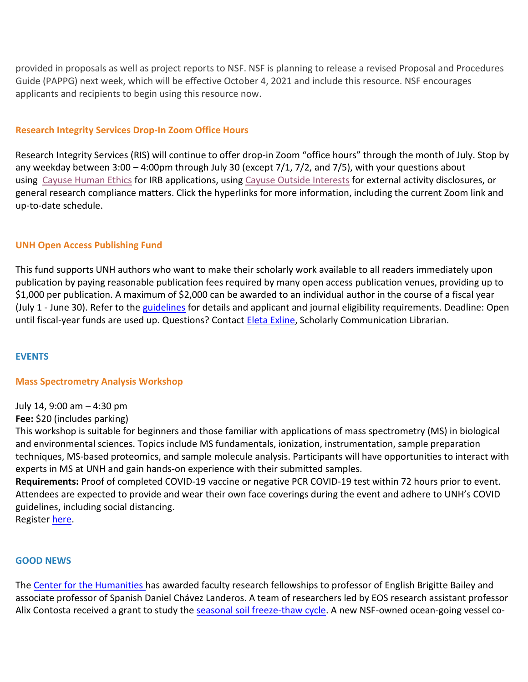provided in proposals as well as project reports to NSF. NSF is planning to release a revised Proposal and Procedures Guide (PAPPG) next week, which will be effective October 4, 2021 and include this resource. NSF encourages applicants and recipients to begin using this resource now.

# **Research Integrity Services Drop-In Zoom Office Hours**

Research Integrity Services (RIS) will continue to offer drop-in Zoom "office hours" through the month of July. Stop by any weekday between 3:00 – 4:00pm through July 30 (except 7/1, 7/2, and 7/5), with your questions about using [Cayuse Human Ethics](https://nam12.safelinks.protection.outlook.com/?url=https%3A%2F%2Fclick.send.unh.edu%2F%3Fqs%3Ddf88d1efafce37c158db268151d3f98f4009f5e66c3aebce9ab805675e9ecbb01d7d3c0e418f6f443bd22d985455975039bb2803cf6dbf23&data=04%7C01%7CNicole.Hentz%40unh.edu%7Cfa5fc7a7b7734435f33708d94171a0c0%7Cd6241893512d46dc8d2bbe47e25f5666%7C0%7C0%7C637612778551025443%7CUnknown%7CTWFpbGZsb3d8eyJWIjoiMC4wLjAwMDAiLCJQIjoiV2luMzIiLCJBTiI6Ik1haWwiLCJXVCI6Mn0%3D%7C1000&sdata=xg8%2BM16p1XGnhSHy6D9fyqO1%2FlB%2BuyI%2BVL4E6AUid%2Bk%3D&reserved=0) for IRB applications, using [Cayuse Outside Interests](https://nam12.safelinks.protection.outlook.com/?url=https%3A%2F%2Fclick.send.unh.edu%2F%3Fqs%3Ddf88d1efafce37c16f8c85c5443d7063aedec44b68e2e88457ff20b3f210eec6fa2d94c63cee2c5fdb4a0ce8e22a9d610907794cf973bfda&data=04%7C01%7CNicole.Hentz%40unh.edu%7Cfa5fc7a7b7734435f33708d94171a0c0%7Cd6241893512d46dc8d2bbe47e25f5666%7C0%7C0%7C637612778551035436%7CUnknown%7CTWFpbGZsb3d8eyJWIjoiMC4wLjAwMDAiLCJQIjoiV2luMzIiLCJBTiI6Ik1haWwiLCJXVCI6Mn0%3D%7C1000&sdata=KIKTDR2C9NhQoQXHxrTX4ctLNjqqSOeu114ZU%2BwuCg8%3D&reserved=0) for external activity disclosures, or general research compliance matters. Click the hyperlinks for more information, including the current Zoom link and up-to-date schedule.

# **UNH Open Access Publishing Fund**

This fund supports UNH authors who want to make their scholarly work available to all readers immediately upon publication by paying reasonable publication fees required by many open access publication venues, providing up to \$1,000 per publication. A maximum of \$2,000 can be awarded to an individual author in the course of a fiscal year (July 1 - June 30). Refer to the [guidelines](https://nam12.safelinks.protection.outlook.com/?url=https%3A%2F%2Fclick.send.unh.edu%2F%3Fqs%3Ddf88d1efafce37c171d62c44304015548fe5910ca87e825bc393ff17972851736fd18e24ad982cf0cb8b4cbc76e59e272af0e9fa2c889177&data=04%7C01%7CNicole.Hentz%40unh.edu%7Cfa5fc7a7b7734435f33708d94171a0c0%7Cd6241893512d46dc8d2bbe47e25f5666%7C0%7C0%7C637612778551035436%7CUnknown%7CTWFpbGZsb3d8eyJWIjoiMC4wLjAwMDAiLCJQIjoiV2luMzIiLCJBTiI6Ik1haWwiLCJXVCI6Mn0%3D%7C1000&sdata=WNJjn%2FwQSriMDCbzmvqZIOJeF4dGtrbQN4eNnw7VPdw%3D&reserved=0) for details and applicant and journal eligibility requirements. Deadline: Open until fiscal-year funds are used up. Questions? Contact *Eleta Exline*, Scholarly Communication Librarian.

# **EVENTS**

# **Mass Spectrometry Analysis Workshop**

July 14, 9:00 am – 4:30 pm

# **Fee:** \$20 (includes parking)

This workshop is suitable for beginners and those familiar with applications of mass spectrometry (MS) in biological and environmental sciences. Topics include MS fundamentals, ionization, instrumentation, sample preparation techniques, MS-based proteomics, and sample molecule analysis. Participants will have opportunities to interact with experts in MS at UNH and gain hands-on experience with their submitted samples.

**Requirements:** Proof of completed COVID-19 vaccine or negative PCR COVID-19 test within 72 hours prior to event. Attendees are expected to provide and wear their own face coverings during the event and adhere to UNH's COVID guidelines, including social distancing.

Register [here.](https://nam12.safelinks.protection.outlook.com/?url=https%3A%2F%2Fclick.send.unh.edu%2F%3Fqs%3Ddf88d1efafce37c169e72f318762ad7cf5963eec535ce7234a3cfa61a80e66e5f7e218f9285e4e7726bb3351e50e4ff20839100e7d2a52d7&data=04%7C01%7CNicole.Hentz%40unh.edu%7Cfa5fc7a7b7734435f33708d94171a0c0%7Cd6241893512d46dc8d2bbe47e25f5666%7C0%7C0%7C637612778551045432%7CUnknown%7CTWFpbGZsb3d8eyJWIjoiMC4wLjAwMDAiLCJQIjoiV2luMzIiLCJBTiI6Ik1haWwiLCJXVCI6Mn0%3D%7C1000&sdata=FOEmsvd%2FyI1Y%2F9eCefQlknEcbCmjpzRINzHhpGo3PRM%3D&reserved=0)

# **GOOD NEWS**

The [Center for the Humanities h](https://nam12.safelinks.protection.outlook.com/?url=https%3A%2F%2Fclick.send.unh.edu%2F%3Fqs%3Ddf88d1efafce37c1c637c3f042891d44230f27e2d8d7d271083eadeeb839134a45ef9bcdeea7a7ad0712b0d0f106546f36822f4ffb576577&data=04%7C01%7CNicole.Hentz%40unh.edu%7Cfa5fc7a7b7734435f33708d94171a0c0%7Cd6241893512d46dc8d2bbe47e25f5666%7C0%7C0%7C637612778551045432%7CUnknown%7CTWFpbGZsb3d8eyJWIjoiMC4wLjAwMDAiLCJQIjoiV2luMzIiLCJBTiI6Ik1haWwiLCJXVCI6Mn0%3D%7C1000&sdata=KV6oRIswPJAf5K0y0BymLMyfaC2lM6BQr1jz0tkG%2FjI%3D&reserved=0)as awarded faculty research fellowships to professor of English Brigitte Bailey and associate professor of Spanish Daniel Chávez Landeros. A team of researchers led by EOS research assistant professor Alix Contosta received a grant to study the [seasonal soil freeze-thaw cycle.](https://nam12.safelinks.protection.outlook.com/?url=https%3A%2F%2Fclick.send.unh.edu%2F%3Fqs%3Ddf88d1efafce37c1d42e6cead8a5b97445e21ad62e47979462d46cfbd63adefbfd97aa600d9d8c549c36d9bdf72933e536a8a148675d8e9f&data=04%7C01%7CNicole.Hentz%40unh.edu%7Cfa5fc7a7b7734435f33708d94171a0c0%7Cd6241893512d46dc8d2bbe47e25f5666%7C0%7C0%7C637612778551055425%7CUnknown%7CTWFpbGZsb3d8eyJWIjoiMC4wLjAwMDAiLCJQIjoiV2luMzIiLCJBTiI6Ik1haWwiLCJXVCI6Mn0%3D%7C1000&sdata=KA%2BlwkFTaNzNij5NcFiXuhwGMYJuJk%2BXCLZi54ouT0k%3D&reserved=0) A new NSF-owned ocean-going vessel co-